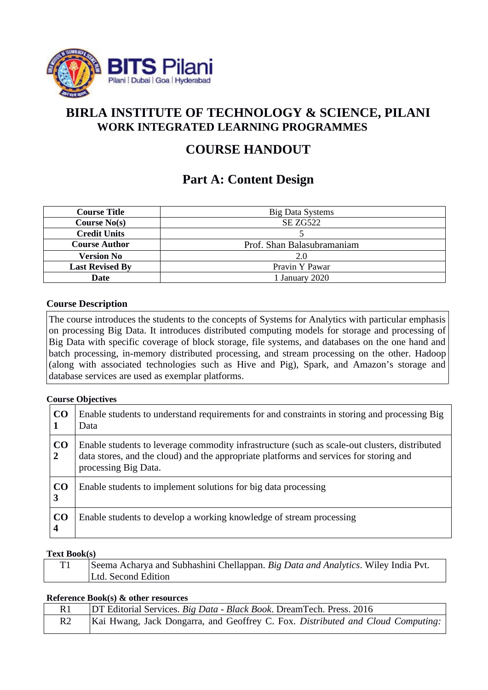

## **BIRLA INSTITUTE OF TECHNOLOGY & SCIENCE, PILANI WORK INTEGRATED LEARNING PROGRAMMES**

# **COURSE HANDOUT**

# **Part A: Content Design**

| <b>Course Title</b>    | <b>Big Data Systems</b>    |  |
|------------------------|----------------------------|--|
| <b>Course No(s)</b>    | SE ZG522                   |  |
| <b>Credit Units</b>    |                            |  |
| <b>Course Author</b>   | Prof. Shan Balasubramaniam |  |
| Version No             | 2.0                        |  |
| <b>Last Revised By</b> | Pravin Y Pawar             |  |
| Date                   | 1 January 2020             |  |

## **Course Description**

The course introduces the students to the concepts of Systems for Analytics with particular emphasis on processing Big Data. It introduces distributed computing models for storage and processing of Big Data with specific coverage of block storage, file systems, and databases on the one hand and batch processing, in-memory distributed processing, and stream processing on the other. Hadoop (along with associated technologies such as Hive and Pig), Spark, and Amazon's storage and database services are used as exemplar platforms.

## **Course Objectives**

| CO<br>1              | Enable students to understand requirements for and constraints in storing and processing Big<br>Data                                                                                                            |
|----------------------|-----------------------------------------------------------------------------------------------------------------------------------------------------------------------------------------------------------------|
| CO<br>$\overline{2}$ | Enable students to leverage commodity infrastructure (such as scale-out clusters, distributed<br>data stores, and the cloud) and the appropriate platforms and services for storing and<br>processing Big Data. |
| CO<br>3              | Enable students to implement solutions for big data processing                                                                                                                                                  |
| CO<br>4              | Enable students to develop a working knowledge of stream processing                                                                                                                                             |

## **Text Book(s)**

| m1 | Seema Acharya and Subhashini Chellappan. Big Data and Analytics. Wiley India Pvt. |
|----|-----------------------------------------------------------------------------------|
|    | Ltd. Second Edition                                                               |

### **Reference Book(s) & other resources**

|                | DT Editorial Services. Big Data - Black Book. DreamTech. Press. 2016            |
|----------------|---------------------------------------------------------------------------------|
| R <sub>2</sub> | Kai Hwang, Jack Dongarra, and Geoffrey C. Fox. Distributed and Cloud Computing: |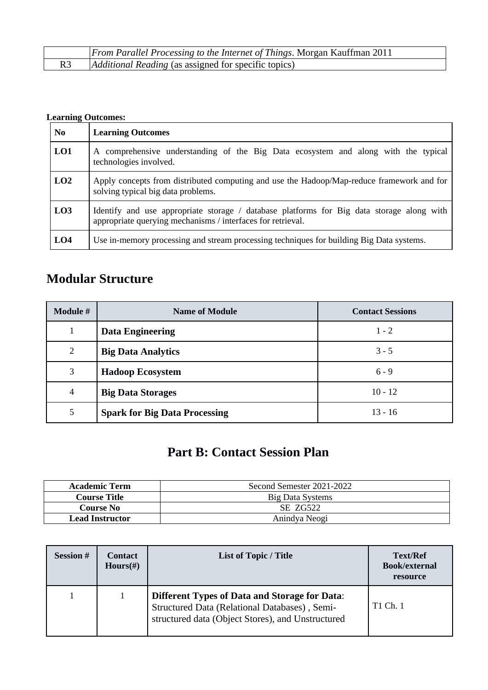| From Parallel Processing to the Internet of Things. Morgan Kauffman 2011 |
|--------------------------------------------------------------------------|
| <i>Additional Reading</i> (as assigned for specific topics)              |

## **Learning Outcomes:**

| N <sub>0</sub>  | <b>Learning Outcomes</b>                                                                                                                                 |  |  |
|-----------------|----------------------------------------------------------------------------------------------------------------------------------------------------------|--|--|
| L <sub>01</sub> | A comprehensive understanding of the Big Data ecosystem and along with the typical<br>technologies involved.                                             |  |  |
| LO2             | Apply concepts from distributed computing and use the Hadoop/Map-reduce framework and for<br>solving typical big data problems.                          |  |  |
| L <sub>03</sub> | Identify and use appropriate storage / database platforms for Big data storage along with<br>appropriate querying mechanisms / interfaces for retrieval. |  |  |
| LO <sub>4</sub> | Use in-memory processing and stream processing techniques for building Big Data systems.                                                                 |  |  |

# **Modular Structure**

| <b>Module #</b> | <b>Name of Module</b>                | <b>Contact Sessions</b> |
|-----------------|--------------------------------------|-------------------------|
| $\mathbf 1$     | <b>Data Engineering</b>              | $1 - 2$                 |
| $\overline{2}$  | <b>Big Data Analytics</b>            | $3 - 5$                 |
| 3               | <b>Hadoop Ecosystem</b>              | $6 - 9$                 |
| 4               | <b>Big Data Storages</b>             | $10 - 12$               |
| 5               | <b>Spark for Big Data Processing</b> | $13 - 16$               |

# **Part B: Contact Session Plan**

| <b>Academic Term</b>   | Second Semester 2021-2022 |  |
|------------------------|---------------------------|--|
| <b>Course Title</b>    | <b>Big Data Systems</b>   |  |
| Course No              | SE ZG522                  |  |
| <b>Lead Instructor</b> | Anindya Neogi             |  |

| <b>Session#</b> | <b>Contact</b><br>$Hours(\#)$ | <b>List of Topic / Title</b>                                                                                                                               | <b>Text/Ref</b><br><b>Book/external</b><br>resource |
|-----------------|-------------------------------|------------------------------------------------------------------------------------------------------------------------------------------------------------|-----------------------------------------------------|
|                 |                               | <b>Different Types of Data and Storage for Data:</b><br>Structured Data (Relational Databases), Semi-<br>structured data (Object Stores), and Unstructured | T1 Ch. 1                                            |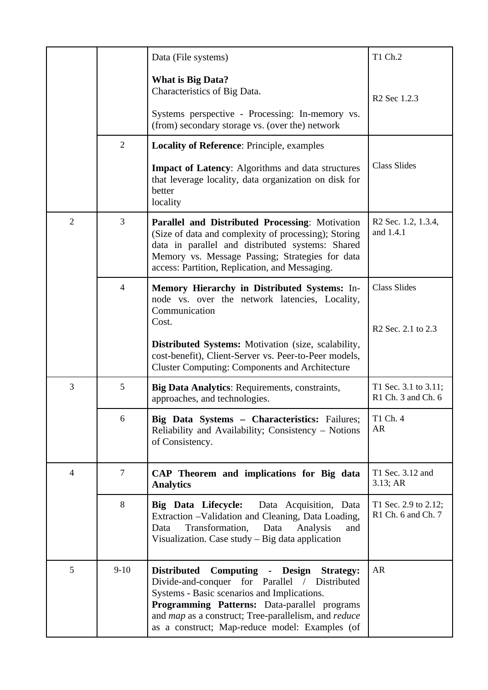|                |                | Data (File systems)                                                                                                                                                                                                                                                                                   | T1 Ch.2                                    |
|----------------|----------------|-------------------------------------------------------------------------------------------------------------------------------------------------------------------------------------------------------------------------------------------------------------------------------------------------------|--------------------------------------------|
|                |                | <b>What is Big Data?</b><br>Characteristics of Big Data.<br>Systems perspective - Processing: In-memory vs.<br>(from) secondary storage vs. (over the) network                                                                                                                                        | R <sub>2</sub> Sec 1.2.3                   |
|                | $\overline{2}$ | <b>Locality of Reference: Principle, examples</b>                                                                                                                                                                                                                                                     |                                            |
|                |                | <b>Impact of Latency:</b> Algorithms and data structures<br>that leverage locality, data organization on disk for<br>better<br>locality                                                                                                                                                               | <b>Class Slides</b>                        |
| $\overline{2}$ | 3              | Parallel and Distributed Processing: Motivation<br>(Size of data and complexity of processing); Storing<br>data in parallel and distributed systems: Shared<br>Memory vs. Message Passing; Strategies for data<br>access: Partition, Replication, and Messaging.                                      | R2 Sec. 1.2, 1.3.4,<br>and 1.4.1           |
|                | $\overline{4}$ | Memory Hierarchy in Distributed Systems: In-<br>node vs. over the network latencies, Locality,<br>Communication<br>Cost.<br><b>Distributed Systems:</b> Motivation (size, scalability,<br>cost-benefit), Client-Server vs. Peer-to-Peer models,                                                       | <b>Class Slides</b><br>R2 Sec. 2.1 to 2.3  |
|                |                | <b>Cluster Computing: Components and Architecture</b>                                                                                                                                                                                                                                                 |                                            |
| 3              | 5              | Big Data Analytics: Requirements, constraints,<br>approaches, and technologies.                                                                                                                                                                                                                       | T1 Sec. 3.1 to 3.11;<br>R1 Ch. 3 and Ch. 6 |
|                | 6              | Big Data Systems - Characteristics: Failures;<br>Reliability and Availability; Consistency - Notions<br>of Consistency.                                                                                                                                                                               | T1 Ch. 4<br><b>AR</b>                      |
| $\overline{4}$ | $\overline{7}$ | CAP Theorem and implications for Big data<br><b>Analytics</b>                                                                                                                                                                                                                                         | T1 Sec. 3.12 and<br>3.13; AR               |
|                | 8              | Big Data Lifecycle: Data Acquisition, Data<br>Extraction -Validation and Cleaning, Data Loading,<br>Transformation,<br>Data<br>Analysis<br>and<br>Data<br>Visualization. Case study - Big data application                                                                                            | T1 Sec. 2.9 to 2.12;<br>R1 Ch. 6 and Ch. 7 |
| 5              | $9 - 10$       | Distributed Computing - Design Strategy:<br>Divide-and-conquer<br>for Parallel / Distributed<br>Systems - Basic scenarios and Implications.<br>Programming Patterns: Data-parallel programs<br>and map as a construct; Tree-parallelism, and reduce<br>as a construct; Map-reduce model: Examples (of | AR                                         |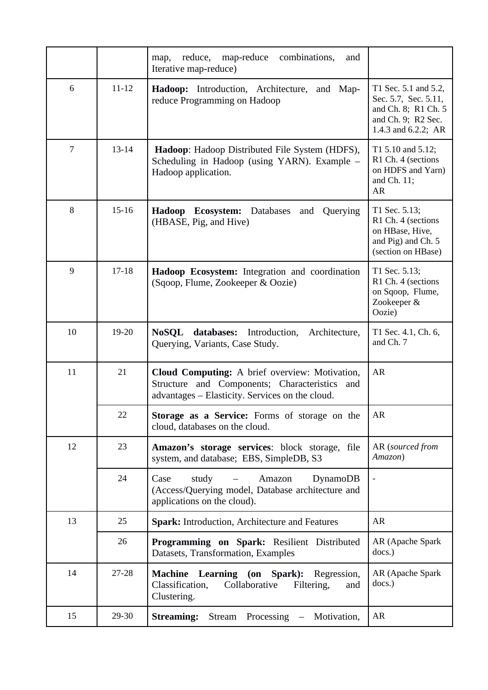|                |           | map-reduce<br>combinations,<br>reduce,<br>and<br>map,<br>Iterative map-reduce)                                                                     |                                                                                                                  |
|----------------|-----------|----------------------------------------------------------------------------------------------------------------------------------------------------|------------------------------------------------------------------------------------------------------------------|
| 6              | $11 - 12$ | Hadoop: Introduction, Architecture, and Map-<br>reduce Programming on Hadoop                                                                       | T1 Sec. 5.1 and 5.2,<br>Sec. 5.7, Sec. 5.11,<br>and Ch. 8; R1 Ch. 5<br>and Ch. 9; R2 Sec.<br>1.4.3 and 6.2.2; AR |
| $\overline{7}$ | 13-14     | Hadoop: Hadoop Distributed File System (HDFS),<br>Scheduling in Hadoop (using YARN). Example -<br>Hadoop application.                              | T1 5.10 and 5.12;<br>R1 Ch. 4 (sections<br>on HDFS and Yarn)<br>and Ch. 11;<br><b>AR</b>                         |
| 8              | 15-16     | <b>Hadoop Ecosystem:</b> Databases<br>Querying<br>and<br>(HBASE, Pig, and Hive)                                                                    | T1 Sec. 5.13;<br>R1 Ch. 4 (sections<br>on HBase, Hive,<br>and Pig) and Ch. 5<br>(section on HBase)               |
| 9              | $17 - 18$ | Hadoop Ecosystem: Integration and coordination<br>(Sqoop, Flume, Zookeeper & Oozie)                                                                | T1 Sec. 5.13;<br>R1 Ch. 4 (sections<br>on Sqoop, Flume,<br>Zookeeper &<br>Oozie)                                 |
| 10             | 19-20     | <b>NoSQL</b><br>databases:<br>Introduction,<br>Architecture,<br>Querying, Variants, Case Study.                                                    | T1 Sec. 4.1, Ch. 6,<br>and Ch. 7                                                                                 |
| 11             | 21        | Cloud Computing: A brief overview: Motivation,<br>Structure and Components; Characteristics and<br>advantages - Elasticity. Services on the cloud. | AR                                                                                                               |
|                | 22        | Storage as a Service: Forms of storage on the<br>cloud, databases on the cloud.                                                                    | AR                                                                                                               |
| 12             | 23        | Amazon's storage services: block storage, file<br>system, and database; EBS, SimpleDB, S3                                                          | AR (sourced from<br>Amazon)                                                                                      |
|                | 24        | study<br>Case<br>Amazon<br><b>DynamoDB</b><br>(Access/Querying model, Database architecture and<br>applications on the cloud).                     |                                                                                                                  |
| 13             | 25        | <b>Spark: Introduction, Architecture and Features</b>                                                                                              | AR                                                                                                               |
|                | 26        | Programming on Spark: Resilient Distributed<br>Datasets, Transformation, Examples                                                                  | AR (Apache Spark<br>docs.)                                                                                       |
| 14             | $27 - 28$ | Machine Learning (on Spark): Regression,<br>Classification,<br>Collaborative<br>Filtering,<br>and<br>Clustering.                                   | AR (Apache Spark<br>docs.)                                                                                       |
| 15             | 29-30     | <b>Streaming:</b><br>Stream<br>Processing -<br>Motivation,                                                                                         | AR                                                                                                               |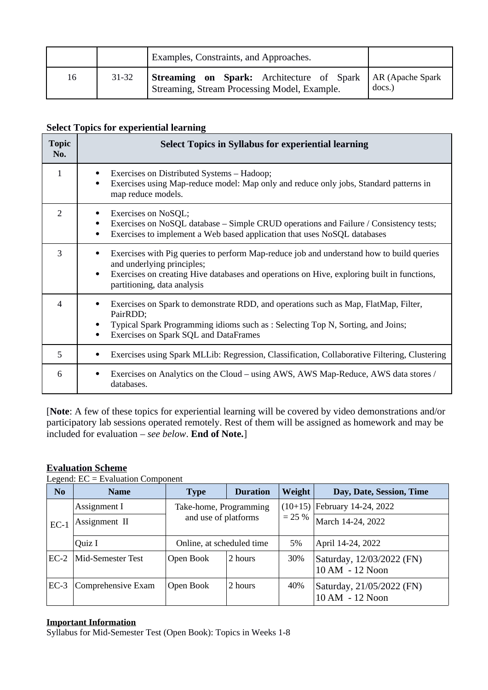|    |       | <b>Examples, Constraints, and Approaches.</b>                                                                |        |
|----|-------|--------------------------------------------------------------------------------------------------------------|--------|
| 16 | 31-32 | Streaming on Spark: Architecture of Spark   AR (Apache Spark<br>Streaming, Stream Processing Model, Example. | docs.) |

## **Select Topics for experiential learning**

| <b>Topic</b><br>No.      | <b>Select Topics in Syllabus for experiential learning</b>                                                                                                                                                                                                       |  |  |  |  |  |
|--------------------------|------------------------------------------------------------------------------------------------------------------------------------------------------------------------------------------------------------------------------------------------------------------|--|--|--|--|--|
| $\mathbf{1}$             | Exercises on Distributed Systems - Hadoop;<br>Exercises using Map-reduce model: Map only and reduce only jobs, Standard patterns in<br>٠<br>map reduce models.                                                                                                   |  |  |  |  |  |
| $\overline{2}$           | Exercises on NoSQL;<br>Exercises on NoSQL database – Simple CRUD operations and Failure / Consistency tests;<br>٠<br>Exercises to implement a Web based application that uses NoSQL databases                                                                    |  |  |  |  |  |
| 3                        | Exercises with Pig queries to perform Map-reduce job and understand how to build queries<br>and underlying principles;<br>Exercises on creating Hive databases and operations on Hive, exploring built in functions,<br>$\bullet$<br>partitioning, data analysis |  |  |  |  |  |
| $\overline{\mathcal{A}}$ | Exercises on Spark to demonstrate RDD, and operations such as Map, FlatMap, Filter,<br>PairRDD;<br>Typical Spark Programming idioms such as : Selecting Top N, Sorting, and Joins;<br>Exercises on Spark SQL and DataFrames<br>٠                                 |  |  |  |  |  |
| 5                        | Exercises using Spark MLLib: Regression, Classification, Collaborative Filtering, Clustering                                                                                                                                                                     |  |  |  |  |  |
| 6                        | Exercises on Analytics on the Cloud – using AWS, AWS Map-Reduce, AWS data stores /<br>databases.                                                                                                                                                                 |  |  |  |  |  |

[**Note**: A few of these topics for experiential learning will be covered by video demonstrations and/or participatory lab sessions operated remotely. Rest of them will be assigned as homework and may be included for evaluation – *see below*. **End of Note.**]

## **Evaluation Scheme**

Legend: EC = Evaluation Component

| N <sub>0</sub> | <b>Name</b>        | <b>Type</b>                                    | <b>Duration</b> | Weight                 | Day, Date, Session, Time                     |
|----------------|--------------------|------------------------------------------------|-----------------|------------------------|----------------------------------------------|
| $EC-1$         | Assignment I       | Take-home, Programming<br>and use of platforms |                 | $(10+15)$<br>$= 25 \%$ | February 14-24, 2022                         |
|                | Assignment II      |                                                |                 |                        | March 14-24, 2022                            |
|                | Quiz I             | Online, at scheduled time                      |                 | 5%                     | April 14-24, 2022                            |
| $EC-2$         | Mid-Semester Test  | Open Book                                      | 2 hours         | 30%                    | Saturday, 12/03/2022 (FN)<br>10 AM - 12 Noon |
| $EC-3$         | Comprehensive Exam | Open Book                                      | 2 hours         | 40%                    | Saturday, 21/05/2022 (FN)<br>10 AM - 12 Noon |

### **Important Information**

Syllabus for Mid-Semester Test (Open Book): Topics in Weeks 1-8